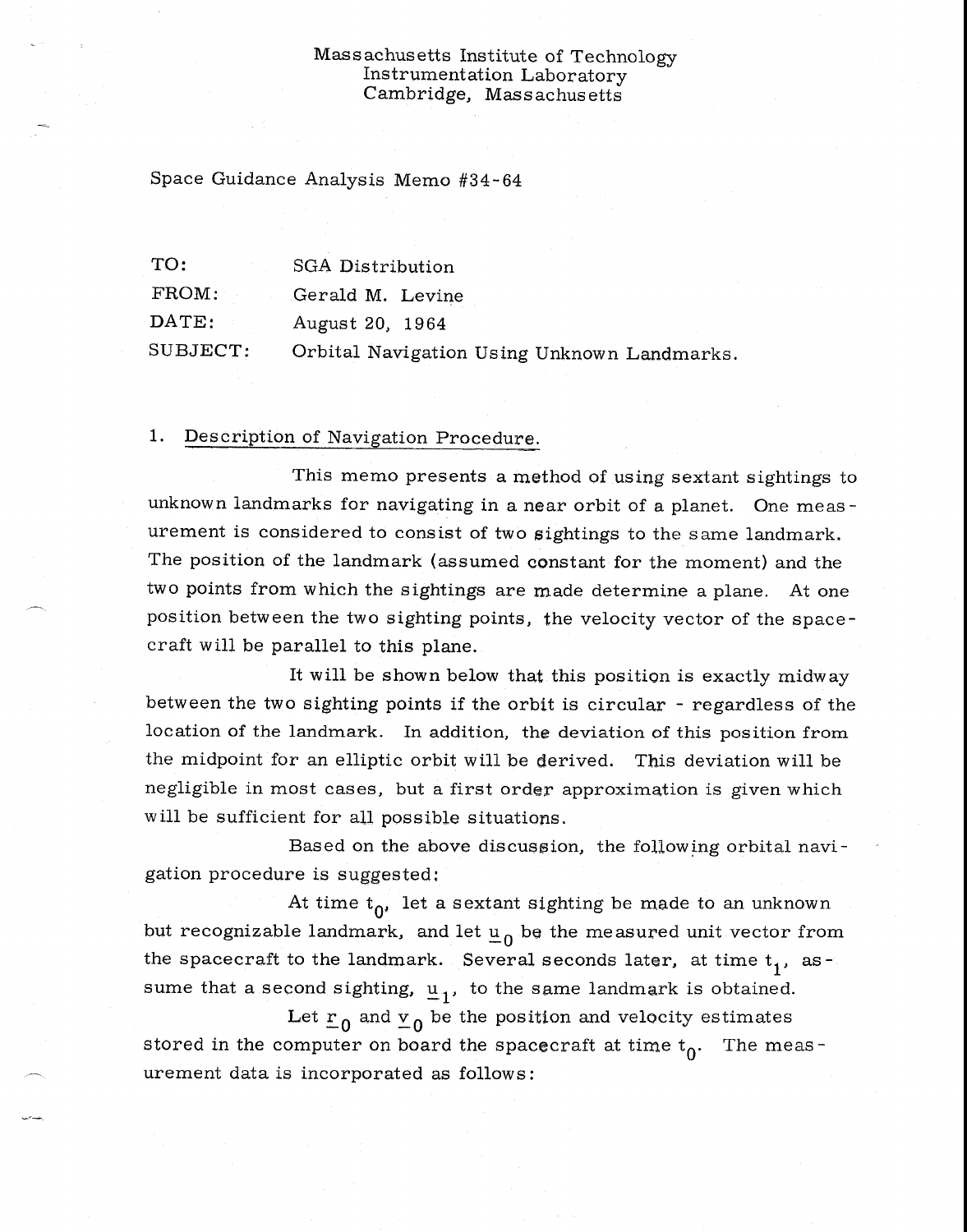### Massachusetts Institute of Technology Instrumentation Laboratory Cambridge, Massachusetts

Space Guidance Analysis Memo #34-64

| TO:              | <b>SGA Distribution</b>                     |
|------------------|---------------------------------------------|
| $\text{FROM}:$   | Gerald M. Levine                            |
| $\texttt{DATE:}$ | August 20, 1964                             |
| SUBJECT:         | Orbital Navigation Using Unknown Landmarks. |

## 1. Description of Navigation Procedure,

This memo presents a method of using sextant sightings to unknown landmarks for navigating in a near orbit of a planet. One measurement is considered to consist of two sightings to the same landmark. The position of the landmark (assumed constant for the moment) and the two points from which the sightings are made determine a plane. At one position between the two sighting points, the velocity vector of the spacecraft will be parallel to this plane.

It will be shown below that this position is exactly midway between the two sighting points if the orbit is circular - regardless of the location of the landmark. In addition, the deviation of this position from the midpoint for an elliptic orbit will be derived. This deviation will be negligible in most cases, but a first order approximation is given which will be sufficient for all possible situations.

Based on the above discussion, the following orbital navigation procedure is suggested:

At time  $t_0$ , let a sextant sighting be made to an unknown but recognizable landmark, and let  $\underline{u}_0$  be the measured unit vector from the spacecraft to the landmark. Several seconds later, at time  $t_1$ , assume that a second sighting,  $u_1$ , to the same landmark is obtained.

Let  $r_0$  and  $v_0$  be the position and velocity estimates stored in the computer on board the spacecraft at time  $t_0$ . The measurement data is incorporated as follows: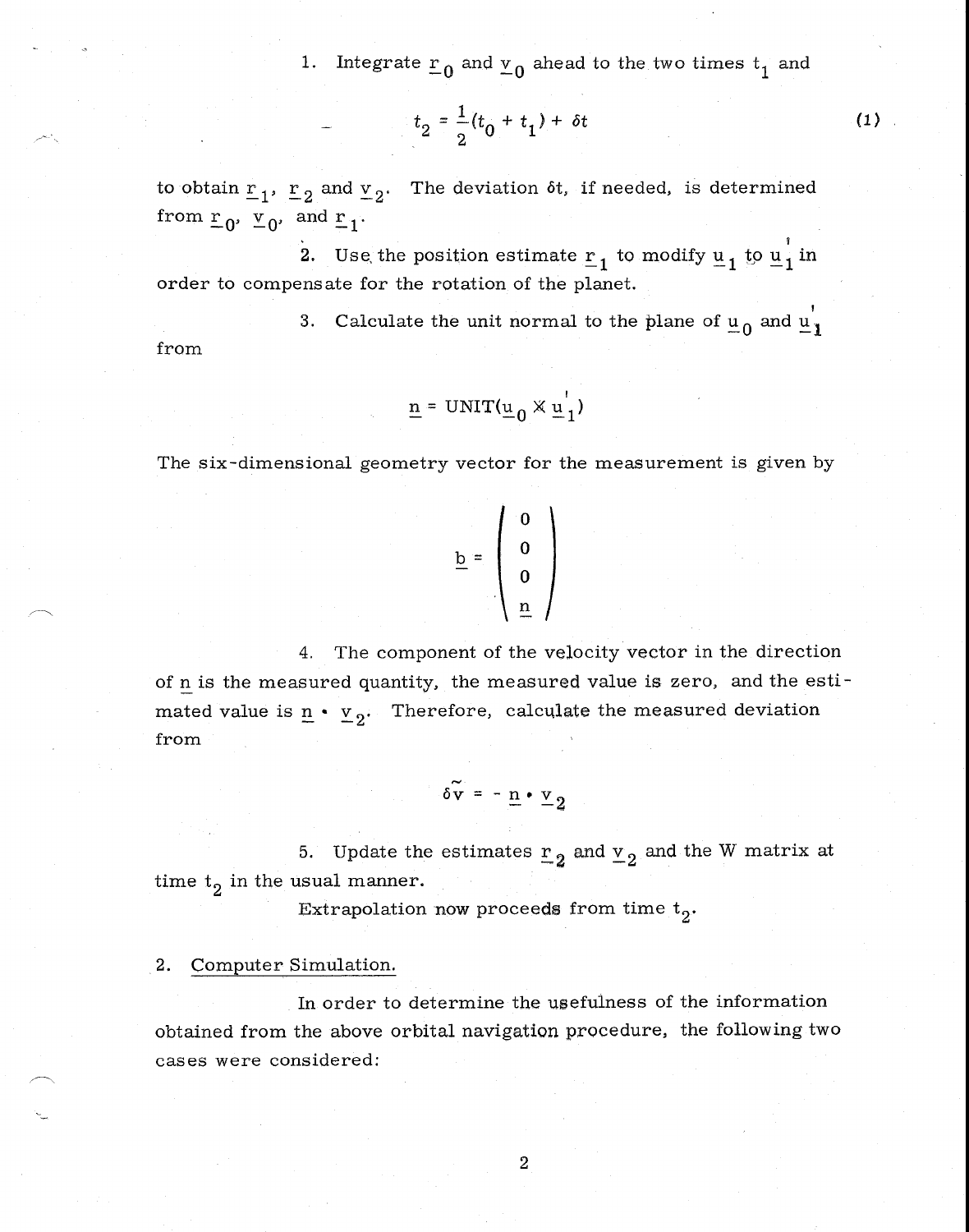1. Integrate  $r_0$  and  $r_0$  ahead to the two times  $t_1$  and

$$
t_2 = \frac{1}{2}(t_0 + t_1) + \delta t \tag{1}
$$

to obtain  $r_1$ ,  $r_2$  and  $r_2$ . The deviation ot, if needed, is determined from  $\underline{r}_0$ ,  $\underline{v}_0$ , and  $\underline{r}_1$ .

2. Use the position estimate  $\underline{r}_1$  to modify  $\underline{u}_1$  to  $\underline{u}_1$  in order to compensate for the rotation of the planet.

3. Calculate the unit normal to the plane of  $u_0$  and  $u_1$ from

$$
\underline{\mathbf{n}} = \text{UNIT}(\underline{\mathbf{u}}_0 \times \underline{\mathbf{u}}_1)
$$

The six-dimensional geometry vector for the measurement is given by

$$
\underline{b} = \left( \begin{array}{c} 0 \\ 0 \\ 0 \\ \underline{n} \end{array} \right)
$$

4. The component of the velocity vector in the direction of n is the measured quantity, the measured value is zero, and the estimated value is  $n \cdot v_2$ . Therefore, calculate the measured deviation from

$$
\delta \widetilde{\mathbf{v}} = -\underline{\mathbf{n}} \cdot \underline{\mathbf{v}}_2
$$

5. Update the estimates  $r_2$  and  $v_2$  and the W matrix at time  $t_2$  in the usual manner.

Extrapolation now proceeds from time  $t_0$ .

#### 2. Computer Simulation.

In order to determine the usefulness of the information obtained from the above orbital navigation procedure, the following two cases were considered: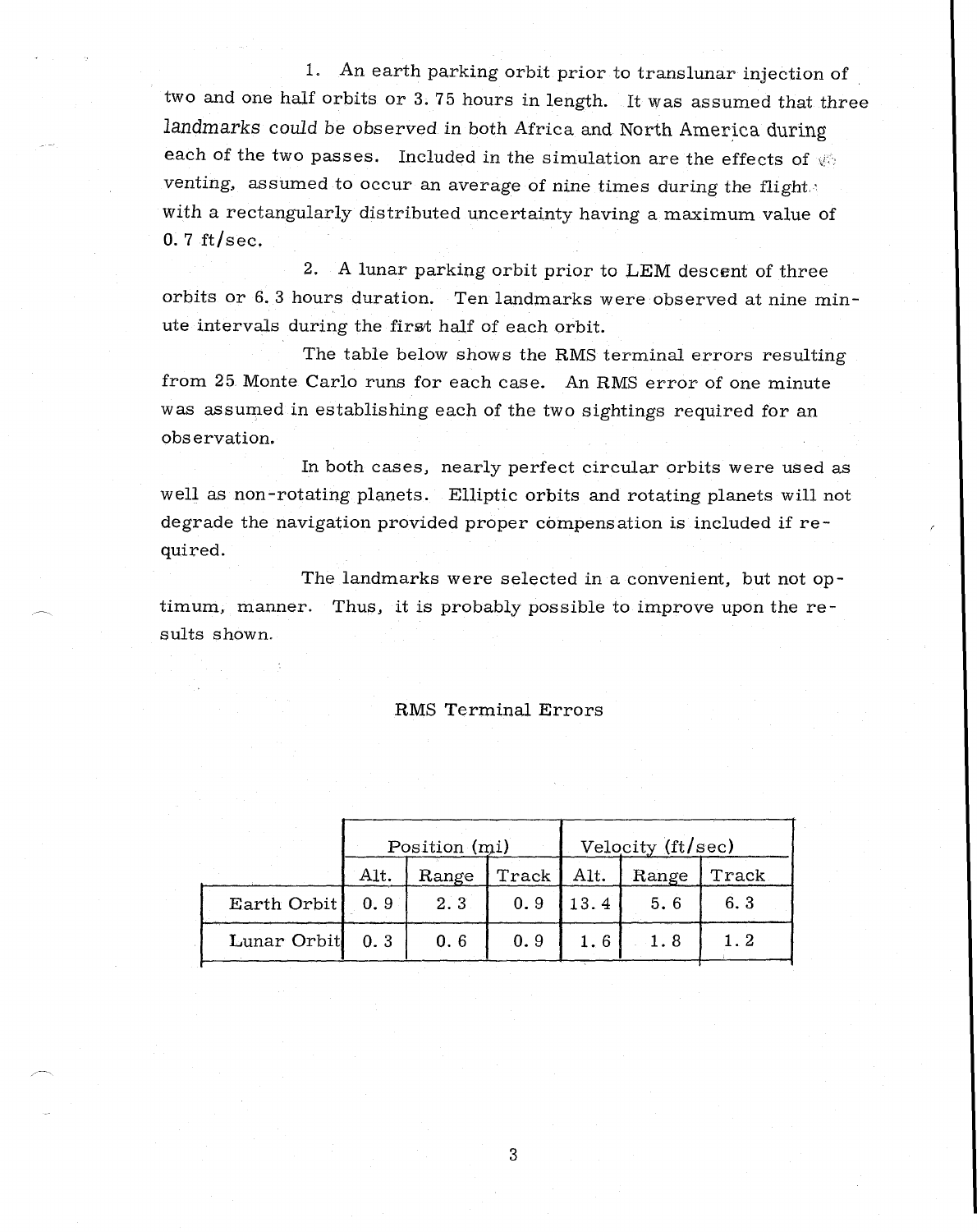1. An earth parking orbit prior to translunar injection of two and one half orbits or 3. 75 hours in length. It was assumed that three *landmarks* could be observed in both Africa and. North America during each of the two passes. Included in the simulation are the effects of  $\otimes$ venting, assumed to occur an average of nine times during the flight. with a rectangularly distributed uncertainty having a maximum value of  $0.7$  ft/sec.

2. A lunar parking orbit prior to LEM descent of three orbits or 6. 3 hours duration. Ten landmarks were observed at nine minute intervals during the first half of each orbit.

The table below shows the RMS terminal errors resulting from 25. Monte Carlo runs for each case. An RMS error of one minute was assumed in establishing each of the two sightings required for an obs ervation.

In both cases, nearly perfect circular orbits were used as well as non-rotating planets. Elliptic orbits and rotating planets will not degrade the navigation provided proper compensation is included if required.

The landmarks were selected in a convenient, but not optimum, manner. Thus, it is probably possible to improve upon the results shown.

#### RMS Terminal Errors

|             | Position (mi) |       |       | Velocity (ft/sec) |       |       |
|-------------|---------------|-------|-------|-------------------|-------|-------|
|             | Alt.          | Range | Track | Alt.              | Range | Track |
| Earth Orbit | 0.9           | 2.3   | 0.9   | 13.4              | 5.6   | 6.3   |
| Lunar Orbit | 0.3           | 0.6   | 0.9   | 1.6               | 1.8   |       |

3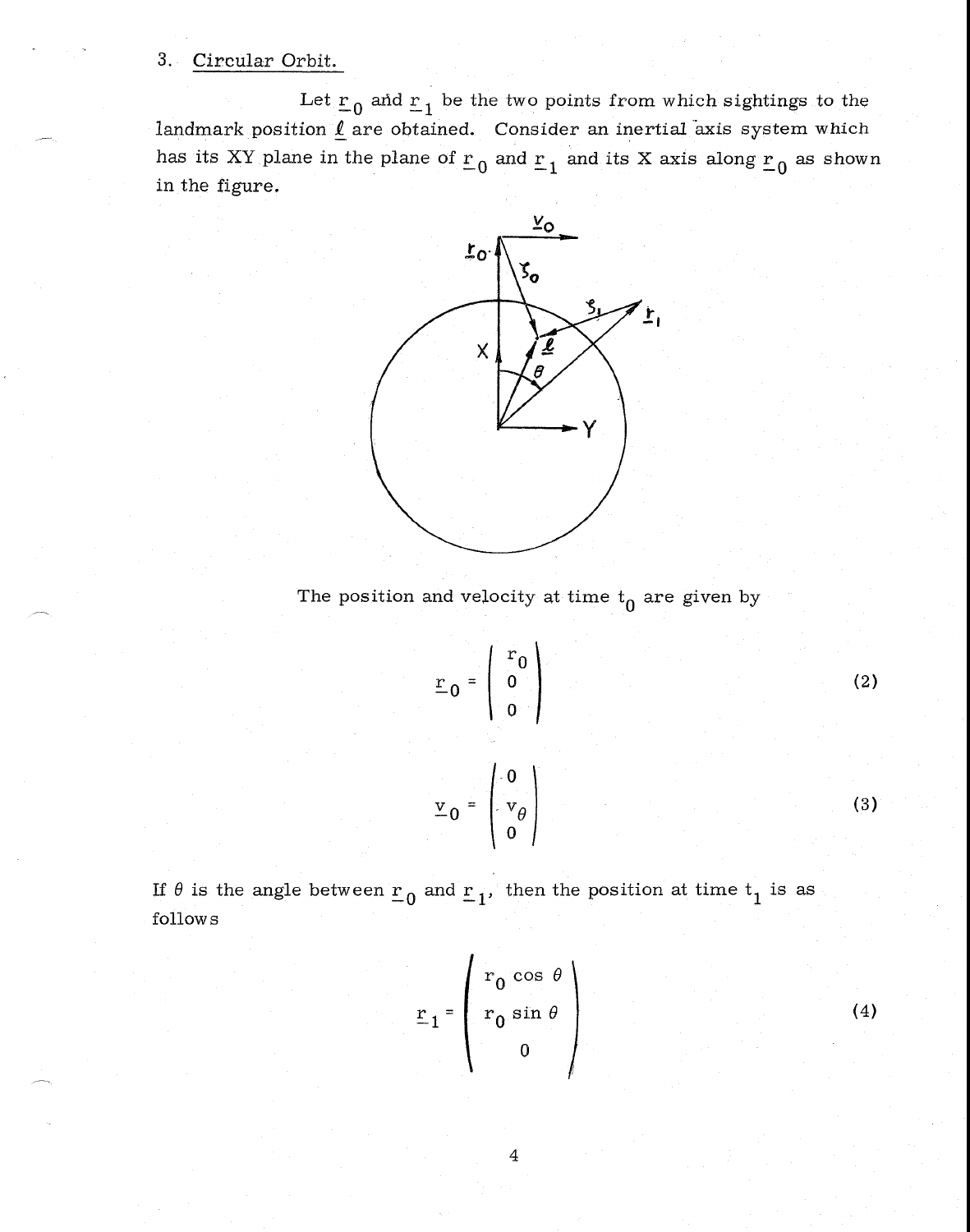# 3. Circular Orbit.

Let  $r_0$  and  $r_1$  be the two points from which sightings to the landmark position  $\underline{\ell}$  are obtained. Consider an inertial axis system which has its XY plane in the plane of  $r_0$  and  $r_1$  and its X axis along  $r_0$  as shown in the figure.



The position and velocity at time  $t_0$  are given by

$$
\underline{\mathbf{r}}_0 = \begin{pmatrix} \mathbf{r}_0 \\ 0 \\ 0 \end{pmatrix}
$$
 (2)  

$$
\underline{\mathbf{v}}_0 = \begin{pmatrix} 0 \\ \mathbf{v}_0 \\ 0 \end{pmatrix}
$$
 (3)

If  $\theta$  is the angle between  $r_0$  and  $r_1$ , then the position at time  $t_1$  is as follow s

$$
\underline{\mathbf{r}}_1 = \begin{pmatrix} \mathbf{r}_0 \cos \theta \\ \mathbf{r}_0 \sin \theta \\ 0 \end{pmatrix}
$$
 (4)

4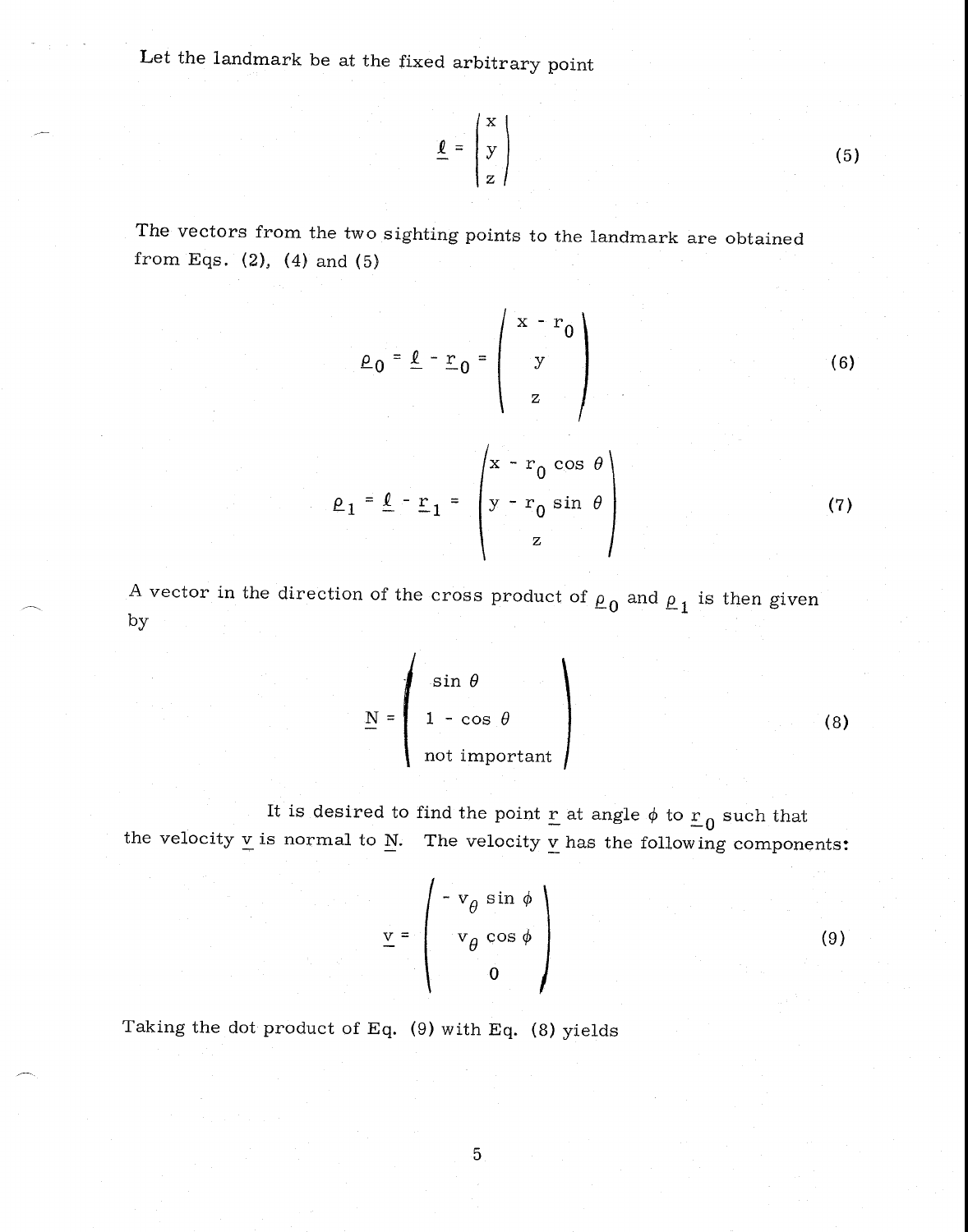Let the landmark be at the fixed arbitrary point

$$
\underline{\mathbf{\ell}} = \begin{pmatrix} \mathbf{x} \\ \mathbf{y} \\ \mathbf{z} \end{pmatrix}
$$
 (5)

The vectors from the two sighting points to the landmark are obtained from Eqs.  $(2)$ ,  $(4)$  and  $(5)$ 

$$
\rho_0 = \underline{\ell} - \underline{r}_0 = \begin{pmatrix} x - r_0 \\ y \\ z \end{pmatrix}
$$
 (6)

$$
\rho_1 = \rho - r_1 = \begin{pmatrix} x - r_0 \cos \theta \\ y - r_0 \sin \theta \\ z \end{pmatrix}
$$
 (7)

A vector in the direction of the cross product of  $\rho_0$  and  $\rho_1$  is then given by

$$
\underline{N} = \begin{pmatrix} \sin \theta \\ 1 - \cos \theta \\ \text{not important} \end{pmatrix}
$$
 (8)

It is desired to find the point  $\underline{r}$  at angle  $\phi$  to  $\underline{r}_0$  such that the velocity  $\underline{v}$  is normal to  $\underline{N}$ . The velocity  $\underline{v}$  has the following components:

$$
\underline{v} = \begin{pmatrix} -v_{\theta} \sin \phi \\ v_{\theta} \cos \phi \\ 0 \end{pmatrix}
$$
 (9)

Taking the dot product of Eq. (9) with Eq. (8) yields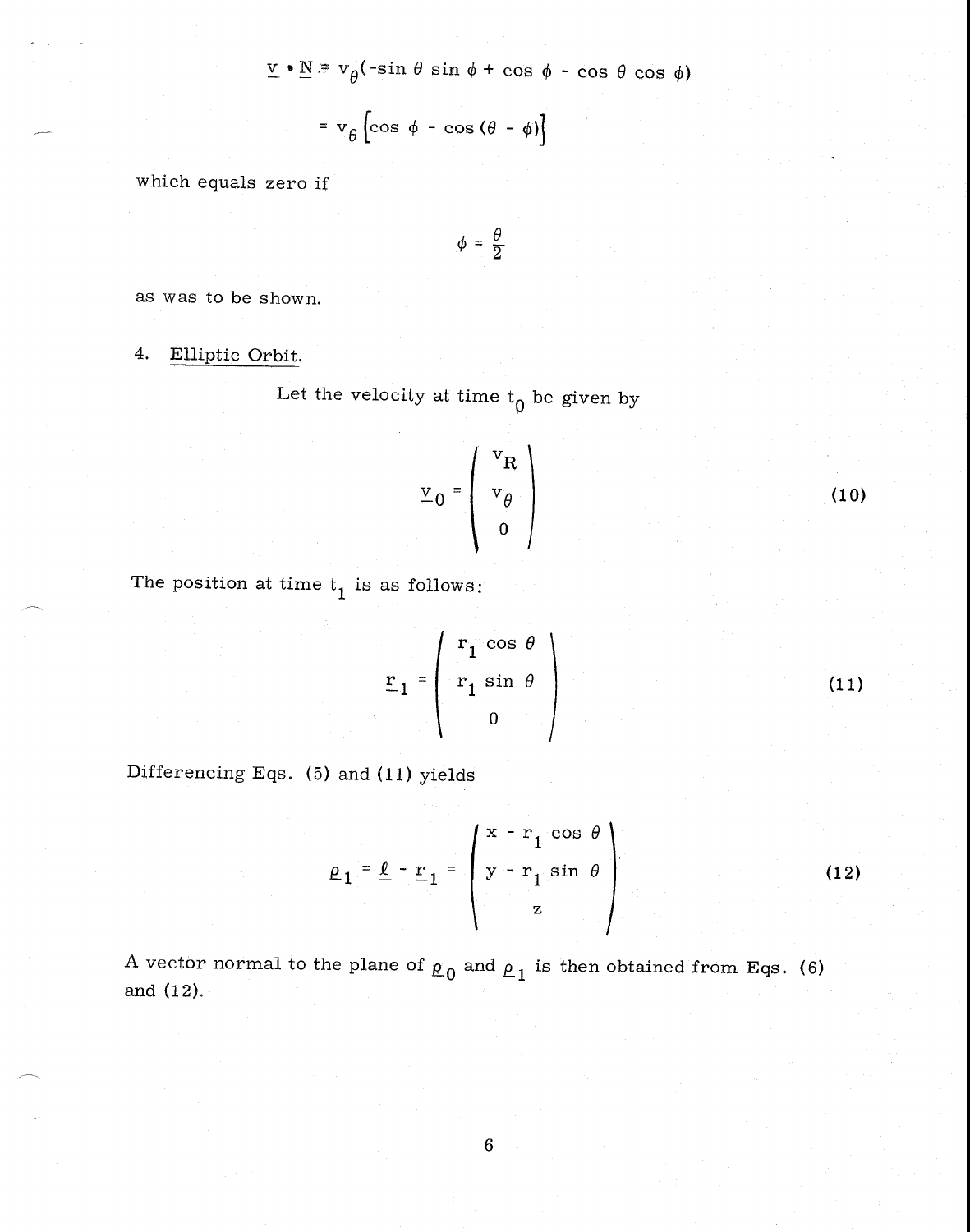$\underline{v} \cdot \underline{N} = v_{\theta}(-\sin \theta \sin \phi + \cos \phi - \cos \theta \cos \phi)$ 

$$
= v_{\theta} \left[ \cos \phi - \cos (\theta - \phi) \right]
$$

which equals zero if

$$
\phi = \frac{\theta}{2}
$$

as was to be shown.

#### Elliptic Orbit. 4.

Let the velocity at time  $t_0$  be given by

$$
\mathbf{v}_0 = \left( \begin{array}{c} \mathbf{v}_R \\ \mathbf{v}_\theta \\ \mathbf{0} \end{array} \right)
$$

The position at time  $t_1$  is as follows:

$$
r_1 = \begin{pmatrix} r_1 \cos \theta \\ r_1 \sin \theta \\ 0 \end{pmatrix}
$$
 (11)

 $(10)$ 

Differencing Eqs. (5) and (11) yields

$$
\rho_1 = \underline{\ell} - \underline{r}_1 = \begin{pmatrix} x - r_1 \cos \theta \\ y - r_1 \sin \theta \\ z \end{pmatrix}
$$
 (12)

A vector normal to the plane of  $\rho_0$  and  $\rho_1$  is then obtained from Eqs. (6) and  $(12)$ .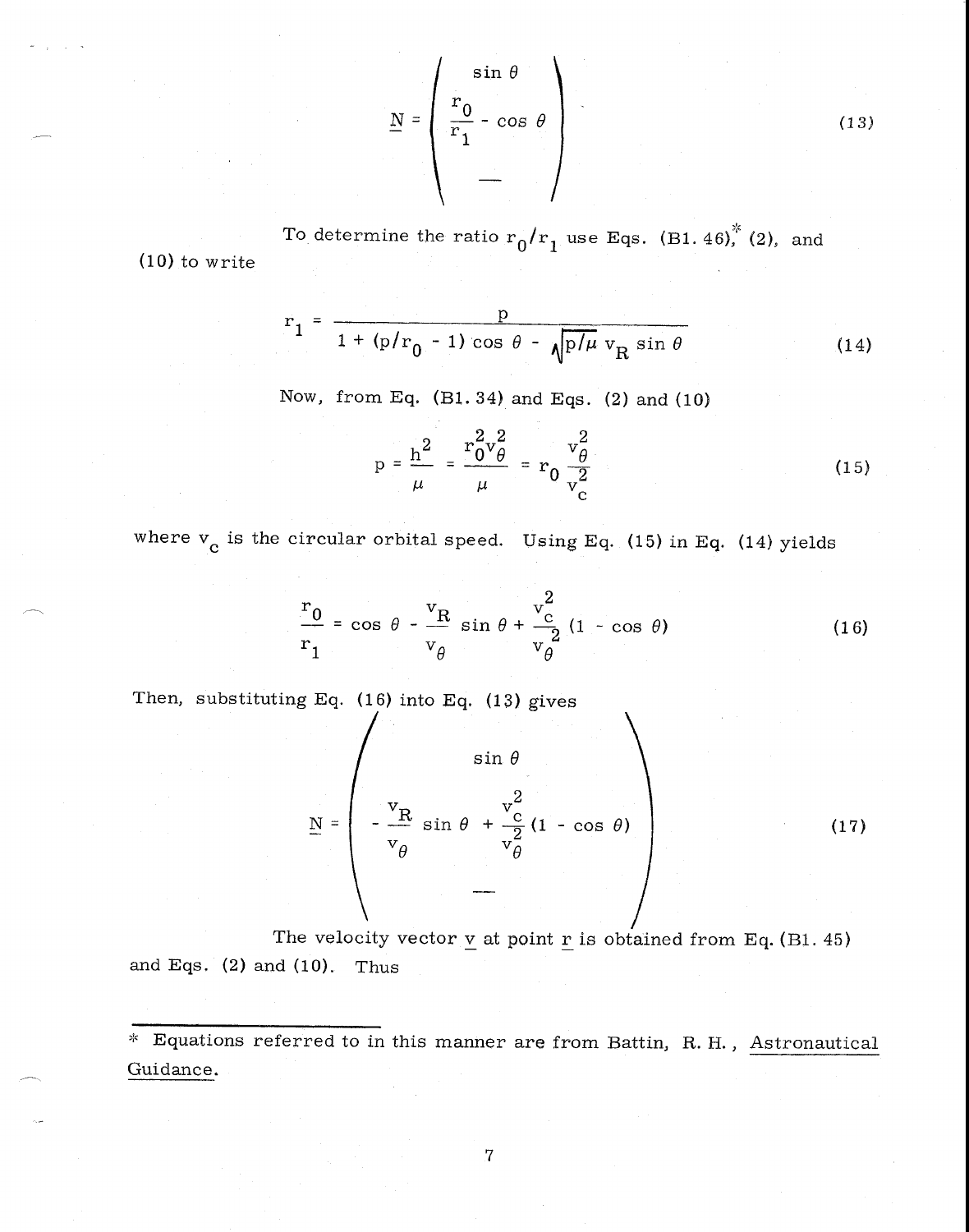$$
\underline{N} = \begin{pmatrix} \sin \theta \\ \frac{r_0}{r_1} - \cos \theta \\ - \theta \end{pmatrix}
$$
 (13)

To determine the ratio  $r_0/r_1$  use Eqs. (B1. 46), (2), and (10) to write

$$
r_1 = \frac{p}{1 + (p/r_0 - 1)\cos\theta - \sqrt{p/\mu} v_R \sin\theta}
$$
 (14)

Now, from Eq. (B1.34) and Eqs. (2) and (10)

m Eq. (B1. 34) and Eqs. (2) and (10)  
\n
$$
p = \frac{h^2}{\mu} = \frac{r_0^2 v_\theta^2}{\mu} = r_0 \frac{v_\theta^2}{v_c^2}
$$
\n(15)

where  $v_c$  is the circular orbital speed. Using Eq. (15) in Eq. (14) yields

$$
\frac{r_0}{r_1} = \cos \theta - \frac{v_R}{v_\theta} \sin \theta + \frac{v_c^2}{v_\theta} (1 - \cos \theta)
$$
 (16)

Then, substituting Eq.  $(16)$  into Eq.  $(13)$  gives

$$
\underline{N} = \begin{pmatrix} \sin \theta \\ -\frac{v_{R}}{v_{\theta}} \sin \theta + \frac{v_{C}^{2}}{v_{\theta}^{2}} (1 - \cos \theta) \\ -\frac{v_{R}}{v_{C}} \cos \theta \end{pmatrix}
$$
(17)

The velocity vector  $\underline{v}$  at point  $\underline{r}$  is obtained from Eq. (B1. 45) and Eqs. (2) and (10). Thus

Equations referred to in this manner are from Battin, R. H., Astronautical Guidance.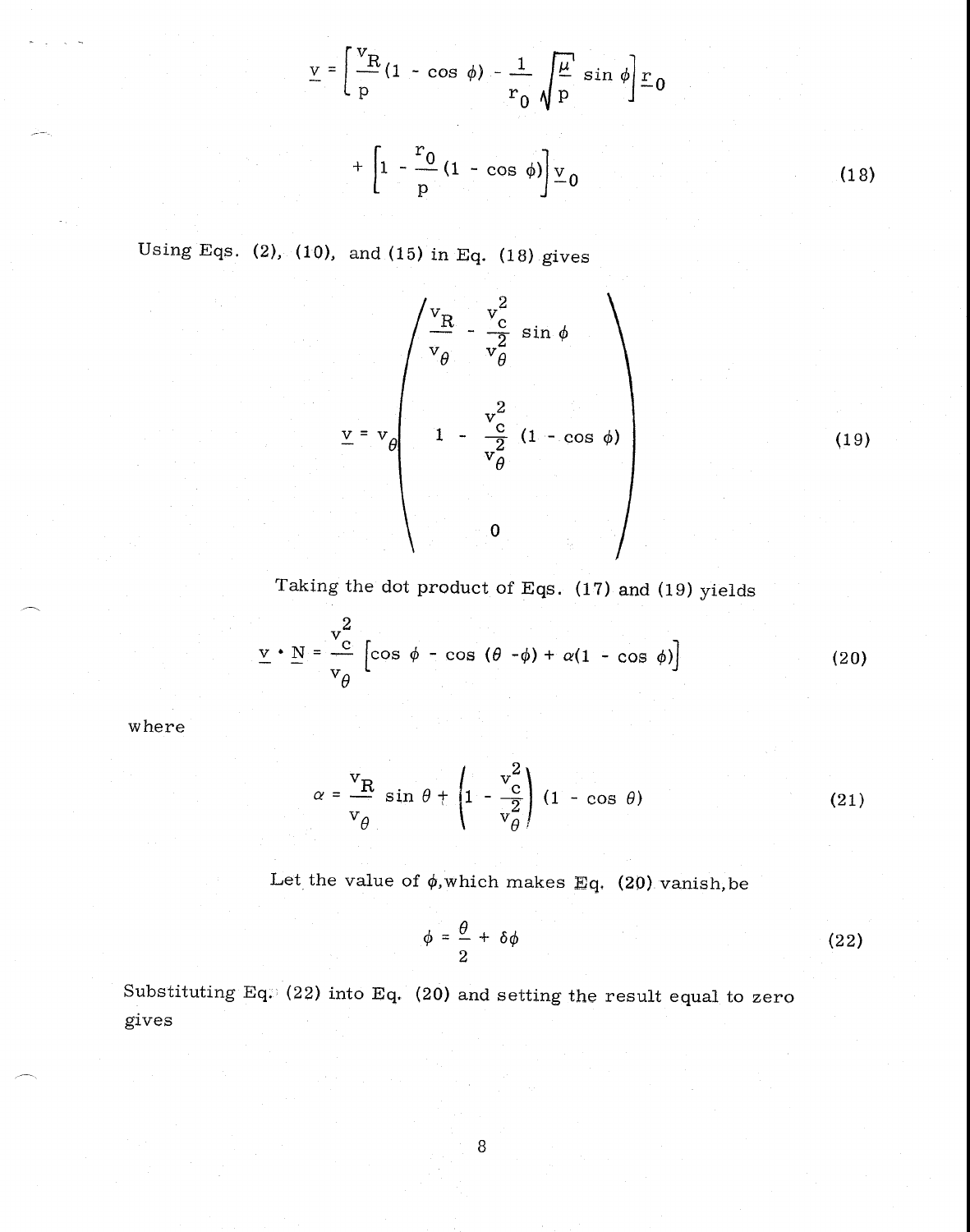$$
V = \left[\frac{V_{R}}{p}(1 - \cos \phi) - \frac{1}{r_{0}} \sqrt{\frac{\mu}{p}} \sin \phi\right] \underline{r}_{0}
$$
  
+ 
$$
\left[1 - \frac{r_{0}}{p}(1 - \cos \phi)\right] \underline{v}_{0}
$$
 (18)

Using Eqs. (2), (10), and (15) in Eq. (18) gives

$$
\underline{v} = v_{\theta} \begin{pmatrix} v_{\frac{\alpha}{2}} & v_{\frac{\alpha}{2}}^{2} & \sin \phi \\ v_{\theta} & v_{\theta}^{2} & \sin \phi \\ 1 & -\frac{v_{\frac{\alpha}{2}}^{2}}{v_{\theta}^{2}} & (1 - \cos \phi) \\ 0 & 0 & 0 \end{pmatrix}
$$
 (19)

Taking the dot product of Eqs. (17) and (19) yields

$$
\underline{\mathbf{v}} \cdot \underline{\mathbf{N}} = \frac{\mathbf{v}_{\mathrm{c}}^2}{\mathbf{v}_{\theta}} \left[ \cos \phi - \cos (\theta - \phi) + \alpha (1 - \cos \phi) \right]
$$
 (20)

where

$$
\alpha = \frac{v_R}{v_\theta} \sin \theta + \left(1 - \frac{v_c^2}{v_\theta^2}\right) (1 - \cos \theta) \tag{21}
$$

Let the value of  $\phi$ , which makes Eq. (20) vanish, be

$$
\phi = \frac{\theta}{2} + \delta\phi \tag{22}
$$

Substituting Eq.  $(22)$  into Eq.  $(20)$  and setting the result equal to zero gives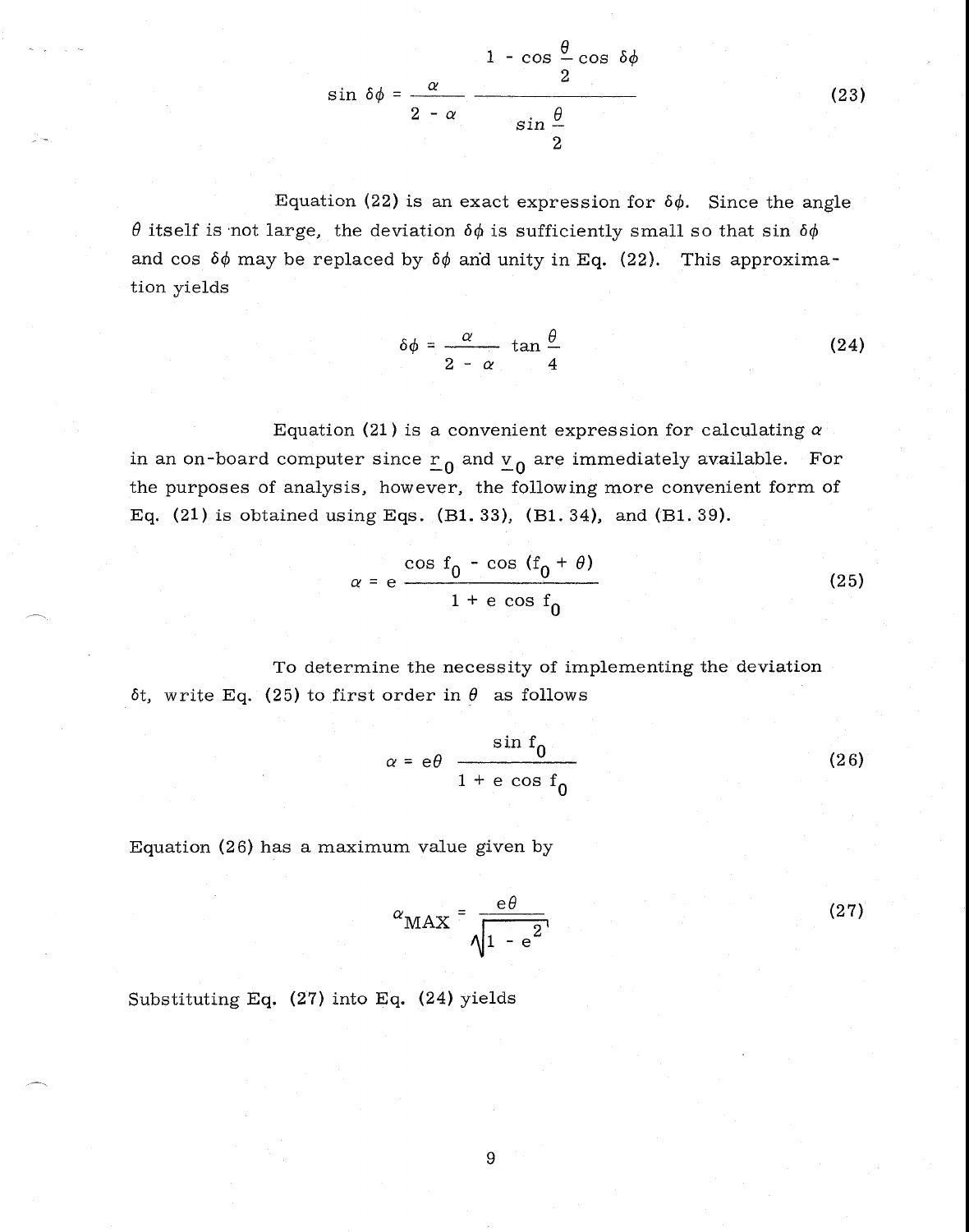

Equation (22) is an exact expression for  $\delta\phi$ . Since the angle  $\theta$  itself is not large, the deviation  $\delta\phi$  is sufficiently small so that sin  $\delta\phi$ and cos  $\delta\phi$  may be replaced by  $\delta\phi$  and unity in Eq. (22). This approximation yields

$$
\delta\phi = \frac{\alpha}{2 - \alpha} \tan \frac{\theta}{4}
$$
 (24)

Equation (21) is a convenient expression for calculating *a*  in an on-board computer since  $r_0$  and  $v_0$  are immediately available. For the purposes of analysis, however, the following more convenient form of Eq. (21) is obtained using Eqs. (B1. 33), (B1. 34), and (B1. 39).

$$
\alpha = e \frac{\cos f_0 - \cos (f_0 + \theta)}{1 + e \cos f_0}
$$
 (25)

To determine the necessity of implementing the deviation  $\delta t$ , write Eq. (25) to first order in  $\theta$  as follows

$$
\alpha = e\theta \frac{\sin f_0}{1 + e \cos f_0}
$$
 (26)

Equation (26) has a maximum value given by

$$
\alpha_{\text{MAX}} = \frac{e\theta}{\sqrt{1 - e^{2}}}
$$
 (27)

Substituting Eq. (27) into Eq. (24) yields